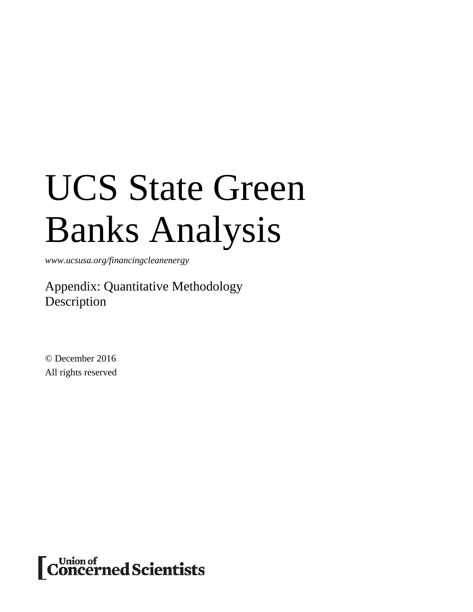# UCS State Green Banks Analysis

*www.ucsusa.org/financingcleanenergy*

Appendix: Quantitative Methodology Description

© December 2016 All rights reserved

Concerned Scientists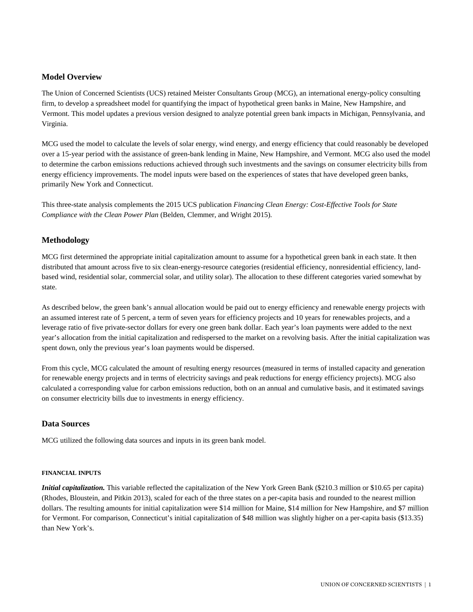## **Model Overview**

The Union of Concerned Scientists (UCS) retained Meister Consultants Group (MCG), an international energy-policy consulting firm, to develop a spreadsheet model for quantifying the impact of hypothetical green banks in Maine, New Hampshire, and Vermont. This model updates a previous version designed to analyze potential green bank impacts in Michigan, Pennsylvania, and Virginia.

MCG used the model to calculate the levels of solar energy, wind energy, and energy efficiency that could reasonably be developed over a 15-year period with the assistance of green-bank lending in Maine, New Hampshire, and Vermont. MCG also used the model to determine the carbon emissions reductions achieved through such investments and the savings on consumer electricity bills from energy efficiency improvements. The model inputs were based on the experiences of states that have developed green banks, primarily New York and Connecticut.

This three-state analysis complements the 2015 UCS publication *Financing Clean Energy: Cost-Effective Tools for State Compliance with the Clean Power Plan* (Belden, Clemmer, and Wright 2015)*.*

# **Methodology**

MCG first determined the appropriate initial capitalization amount to assume for a hypothetical green bank in each state. It then distributed that amount across five to six clean-energy-resource categories (residential efficiency, nonresidential efficiency, landbased wind, residential solar, commercial solar, and utility solar). The allocation to these different categories varied somewhat by state.

As described below, the green bank's annual allocation would be paid out to energy efficiency and renewable energy projects with an assumed interest rate of 5 percent, a term of seven years for efficiency projects and 10 years for renewables projects, and a leverage ratio of five private-sector dollars for every one green bank dollar. Each year's loan payments were added to the next year's allocation from the initial capitalization and redispersed to the market on a revolving basis. After the initial capitalization was spent down, only the previous year's loan payments would be dispersed.

From this cycle, MCG calculated the amount of resulting energy resources (measured in terms of installed capacity and generation for renewable energy projects and in terms of electricity savings and peak reductions for energy efficiency projects). MCG also calculated a corresponding value for carbon emissions reduction, both on an annual and cumulative basis, and it estimated savings on consumer electricity bills due to investments in energy efficiency.

## **Data Sources**

MCG utilized the following data sources and inputs in its green bank model.

## **FINANCIAL INPUTS**

*Initial capitalization*. This variable reflected the capitalization of the New York Green Bank (\$210.3 million or \$10.65 per capita) (Rhodes, Bloustein, and Pitkin 2013), scaled for each of the three states on a per-capita basis and rounded to the nearest million dollars. The resulting amounts for initial capitalization were \$14 million for Maine, \$14 million for New Hampshire, and \$7 million for Vermont. For comparison, Connecticut's initial capitalization of \$48 million was slightly higher on a per-capita basis (\$13.35) than New York's.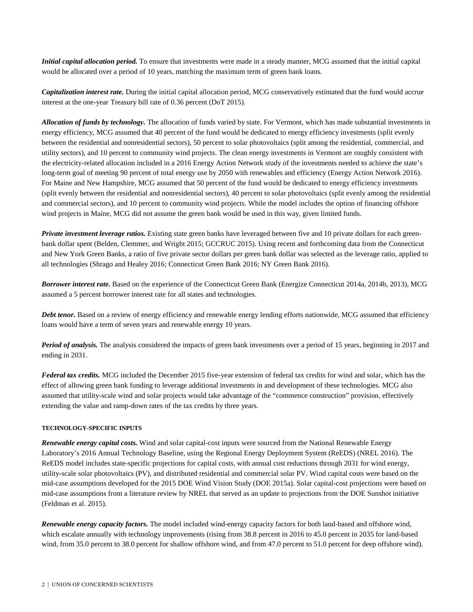*Initial capital allocation period.* To ensure that investments were made in a steady manner, MCG assumed that the initial capital would be allocated over a period of 10 years, matching the maximum term of green bank loans.

*Capitalization interest rate.* During the initial capital allocation period, MCG conservatively estimated that the fund would accrue interest at the one-year Treasury bill rate of 0.36 percent (DoT 2015).

*Allocation of funds by technology.* The allocation of funds varied by state. For Vermont, which has made substantial investments in energy efficiency, MCG assumed that 40 percent of the fund would be dedicated to energy efficiency investments (split evenly between the residential and nonresidential sectors), 50 percent to solar photovoltaics (split among the residential, commercial, and utility sectors), and 10 percent to community wind projects. The clean energy investments in Vermont are roughly consistent with the electricity-related allocation included in a 2016 Energy Action Network study of the investments needed to achieve the state's long-term goal of meeting 90 percent of total energy use by 2050 with renewables and efficiency (Energy Action Network 2016). For Maine and New Hampshire, MCG assumed that 50 percent of the fund would be dedicated to energy efficiency investments (split evenly between the residential and nonresidential sectors), 40 percent to solar photovoltaics (split evenly among the residential and commercial sectors), and 10 percent to community wind projects. While the model includes the option of financing offshore wind projects in Maine, MCG did not assume the green bank would be used in this way, given limited funds.

*Private investment leverage ratios.* Existing state green banks have leveraged between five and 10 private dollars for each greenbank dollar spent (Belden, Clemmer, and Wright 2015; GCCRUC 2015). Using recent and forthcoming data from the Connecticut and New York Green Banks, a ratio of five private sector dollars per green bank dollar was selected as the leverage ratio, applied to all technologies (Shrago and Healey 2016; Connecticut Green Bank 2016; NY Green Bank 2016).

*Borrower interest rate.* Based on the experience of the Connecticut Green Bank (Energize Connecticut 2014a, 2014b, 2013), MCG assumed a 5 percent borrower interest rate for all states and technologies.

*Debt tenor.* Based on a review of energy efficiency and renewable energy lending efforts nationwide, MCG assumed that efficiency loans would have a term of seven years and renewable energy 10 years.

*Period of analysis.* The analysis considered the impacts of green bank investments over a period of 15 years, beginning in 2017 and ending in 2031.

*Federal tax credits.* MCG included the December 2015 five-year extension of federal tax credits for wind and solar, which has the effect of allowing green bank funding to leverage additional investments in and development of these technologies. MCG also assumed that utility-scale wind and solar projects would take advantage of the "commence construction" provision, effectively extending the value and ramp-down rates of the tax credits by three years.

#### **TECHNOLOGY-SPECIFIC INPUTS**

*Renewable energy capital costs.* Wind and solar capital-cost inputs were sourced from the National Renewable Energy Laboratory's 2016 Annual Technology Baseline, using the Regional Energy Deployment System (ReEDS) (NREL 2016). The ReEDS model includes state-specific projections for capital costs, with annual cost reductions through 2031 for wind energy, utility-scale solar photovoltaics (PV), and distributed residential and commercial solar PV. Wind capital costs were based on the mid-case assumptions developed for the 2015 DOE Wind Vision Study (DOE 2015a). Solar capital-cost projections were based on mid-case assumptions from a literature review by NREL that served as an update to projections from the DOE Sunshot initiative (Feldman et al. 2015).

*Renewable energy capacity factors.* The model included wind-energy capacity factors for both land-based and offshore wind, which escalate annually with technology improvements (rising from 38.8 percent in 2016 to 45.0 percent in 2035 for land-based wind, from 35.0 percent to 38.0 percent for shallow offshore wind, and from 47.0 percent to 51.0 percent for deep offshore wind).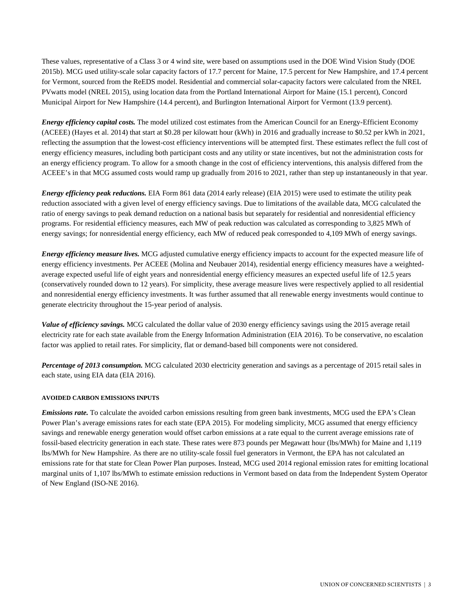These values, representative of a Class 3 or 4 wind site, were based on assumptions used in the DOE Wind Vision Study (DOE 2015b). MCG used utility-scale solar capacity factors of 17.7 percent for Maine, 17.5 percent for New Hampshire, and 17.4 percent for Vermont, sourced from the ReEDS model. Residential and commercial solar-capacity factors were calculated from the NREL PVwatts model (NREL 2015), using location data from the Portland International Airport for Maine (15.1 percent), Concord Municipal Airport for New Hampshire (14.4 percent), and Burlington International Airport for Vermont (13.9 percent).

*Energy efficiency capital costs.* The model utilized cost estimates from the American Council for an Energy-Efficient Economy (ACEEE) (Hayes et al. 2014) that start at \$0.28 per kilowatt hour (kWh) in 2016 and gradually increase to \$0.52 per kWh in 2021, reflecting the assumption that the lowest-cost efficiency interventions will be attempted first. These estimates reflect the full cost of energy efficiency measures, including both participant costs and any utility or state incentives, but not the administration costs for an energy efficiency program. To allow for a smooth change in the cost of efficiency interventions, this analysis differed from the ACEEE's in that MCG assumed costs would ramp up gradually from 2016 to 2021, rather than step up instantaneously in that year.

*Energy efficiency peak reductions.* EIA Form 861 data (2014 early release) (EIA 2015) were used to estimate the utility peak reduction associated with a given level of energy efficiency savings. Due to limitations of the available data, MCG calculated the ratio of energy savings to peak demand reduction on a national basis but separately for residential and nonresidential efficiency programs. For residential efficiency measures, each MW of peak reduction was calculated as corresponding to 3,825 MWh of energy savings; for nonresidential energy efficiency, each MW of reduced peak corresponded to 4,109 MWh of energy savings.

*Energy efficiency measure lives.* MCG adjusted cumulative energy efficiency impacts to account for the expected measure life of energy efficiency investments. Per ACEEE (Molina and Neubauer 2014), residential energy efficiency measures have a weightedaverage expected useful life of eight years and nonresidential energy efficiency measures an expected useful life of 12.5 years (conservatively rounded down to 12 years). For simplicity, these average measure lives were respectively applied to all residential and nonresidential energy efficiency investments. It was further assumed that all renewable energy investments would continue to generate electricity throughout the 15-year period of analysis.

*Value of efficiency savings.* MCG calculated the dollar value of 2030 energy efficiency savings using the 2015 average retail electricity rate for each state available from the Energy Information Administration (EIA 2016). To be conservative, no escalation factor was applied to retail rates. For simplicity, flat or demand-based bill components were not considered.

*Percentage of 2013 consumption.* MCG calculated 2030 electricity generation and savings as a percentage of 2015 retail sales in each state, using EIA data (EIA 2016).

#### **AVOIDED CARBON EMISSIONS INPUTS**

*Emissions rate.* To calculate the avoided carbon emissions resulting from green bank investments, MCG used the EPA's Clean Power Plan's average emissions rates for each state (EPA 2015). For modeling simplicity, MCG assumed that energy efficiency savings and renewable energy generation would offset carbon emissions at a rate equal to the current average emissions rate of fossil-based electricity generation in each state. These rates were 873 pounds per Megawatt hour (lbs/MWh) for Maine and 1,119 lbs/MWh for New Hampshire. As there are no utility-scale fossil fuel generators in Vermont, the EPA has not calculated an emissions rate for that state for Clean Power Plan purposes. Instead, MCG used 2014 regional emission rates for emitting locational marginal units of 1,107 lbs/MWh to estimate emission reductions in Vermont based on data from the Independent System Operator of New England (ISO-NE 2016).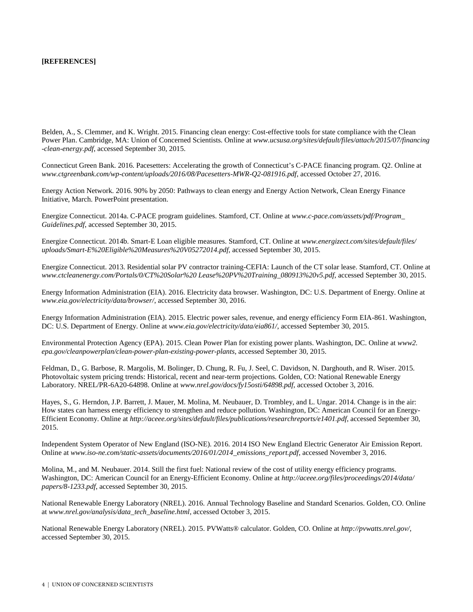### **[REFERENCES]**

Belden, A., S. Clemmer, and K. Wright. 2015. Financing clean energy: Cost-effective tools for state compliance with the Clean Power Plan. Cambridge, MA: Union of Concerned Scientists. Online at *www.ucsusa.org/sites/default/files/attach/2015/07/financing -clean-energy.pdf*, accessed September 30, 2015.

Connecticut Green Bank. 2016. Pacesetters: Accelerating the growth of Connecticut's C-PACE financing program. Q2. Online at *www.ctgreenbank.com/wp-content/uploads/2016/08/Pacesetters-MWR-Q2-081916.pdf*, accessed October 27, 2016.

Energy Action Network. 2016. 90% by 2050: Pathways to clean energy and Energy Action Network, Clean Energy Finance Initiative, March. PowerPoint presentation.

Energize Connecticut. 2014a. C-PACE program guidelines. Stamford, CT. Online at *www.c-pace.com/assets/pdf/Program\_ Guidelines.pdf*, accessed September 30, 2015.

Energize Connecticut. 2014b. Smart-E Loan eligible measures. Stamford, CT. Online at *www.energizect.com/sites/default/files/ uploads/Smart-E%20Eligible%20Measures%20V05272014.pdf*, accessed September 30, 2015.

Energize Connecticut. 2013. Residential solar PV contractor training-CEFIA: Launch of the CT solar lease. Stamford, CT. Online at *www.ctcleanenergy.com/Portals/0/CT%20Solar%20 Lease%20PV%20Training\_080913%20v5.pdf*, accessed September 30, 2015.

Energy Information Administration (EIA). 2016. Electricity data browser. Washington, DC: U.S. Department of Energy. Online at *www.eia.gov/electricity/data/browser/*, accessed September 30, 2016.

Energy Information Administration (EIA). 2015. Electric power sales, revenue, and energy efficiency Form EIA-861. Washington, DC: U.S. Department of Energy. Online at *www.eia.gov/electricity/data/eia861/*, accessed September 30, 2015.

Environmental Protection Agency (EPA). 2015. Clean Power Plan for existing power plants. Washington, DC. Online at *www2. epa.gov/cleanpowerplan/clean-power-plan-existing-power-plants*, accessed September 30, 2015.

Feldman, D., G. Barbose, R. Margolis, M. Bolinger, D. Chung, R. Fu, J. Seel, C. Davidson, N. Darghouth, and R. Wiser. 2015. Photovoltaic system pricing trends: Historical, recent and near-term projections. Golden, CO: National Renewable Energy Laboratory. NREL/PR-6A20-64898. Online at *www.nrel.gov/docs/fy15osti/64898.pdf*, accessed October 3, 2016.

Hayes, S., G. Herndon, J.P. Barrett, J. Mauer, M. Molina, M. Neubauer, D. Trombley, and L. Ungar. 2014. Change is in the air: How states can harness energy efficiency to strengthen and reduce pollution. Washington, DC: American Council for an Energy-Efficient Economy. Online at *http://aceee.org/sites/default/files/publications/researchreports/e1401.pdf*, accessed September 30, 2015.

Independent System Operator of New England (ISO-NE). 2016. 2014 ISO New England Electric Generator Air Emission Report. Online at *www.iso-ne.com/static-assets/documents/2016/01/2014\_emissions\_report.pdf*, accessed November 3, 2016.

Molina, M., and M. Neubauer. 2014. Still the first fuel: National review of the cost of utility energy efficiency programs. Washington, DC: American Council for an Energy-Efficient Economy. Online at *http://aceee.org/files/proceedings/2014/data/ papers/8-1233.pdf*, accessed September 30, 2015.

National Renewable Energy Laboratory (NREL). 2016. Annual Technology Baseline and Standard Scenarios. Golden, CO. Online at *www.nrel.gov/analysis/data\_tech\_baseline.html*, accessed October 3, 2015.

National Renewable Energy Laboratory (NREL). 2015. PVWatts® calculator. Golden, CO. Online at *http://pvwatts.nrel.gov/*, accessed September 30, 2015.